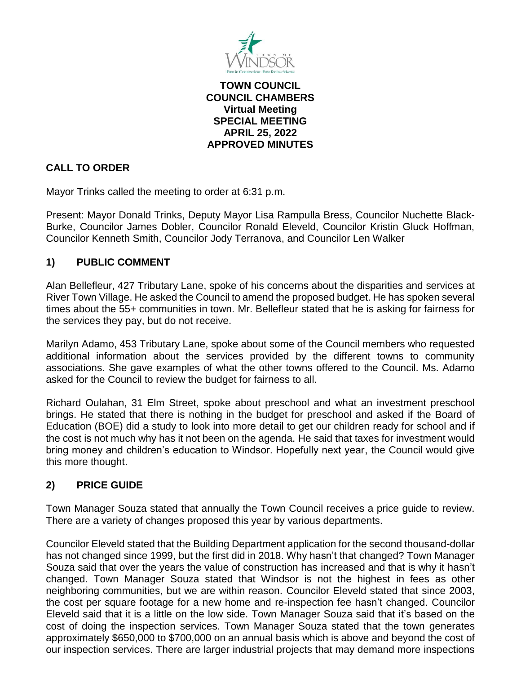

**TOWN COUNCIL COUNCIL CHAMBERS Virtual Meeting SPECIAL MEETING APRIL 25, 2022 APPROVED MINUTES**

# **CALL TO ORDER**

Mayor Trinks called the meeting to order at 6:31 p.m.

Present: Mayor Donald Trinks, Deputy Mayor Lisa Rampulla Bress, Councilor Nuchette Black-Burke, Councilor James Dobler, Councilor Ronald Eleveld, Councilor Kristin Gluck Hoffman, Councilor Kenneth Smith, Councilor Jody Terranova, and Councilor Len Walker

# **1) PUBLIC COMMENT**

Alan Bellefleur, 427 Tributary Lane, spoke of his concerns about the disparities and services at River Town Village. He asked the Council to amend the proposed budget. He has spoken several times about the 55+ communities in town. Mr. Bellefleur stated that he is asking for fairness for the services they pay, but do not receive.

Marilyn Adamo, 453 Tributary Lane, spoke about some of the Council members who requested additional information about the services provided by the different towns to community associations. She gave examples of what the other towns offered to the Council. Ms. Adamo asked for the Council to review the budget for fairness to all.

Richard Oulahan, 31 Elm Street, spoke about preschool and what an investment preschool brings. He stated that there is nothing in the budget for preschool and asked if the Board of Education (BOE) did a study to look into more detail to get our children ready for school and if the cost is not much why has it not been on the agenda. He said that taxes for investment would bring money and children's education to Windsor. Hopefully next year, the Council would give this more thought.

### **2) PRICE GUIDE**

Town Manager Souza stated that annually the Town Council receives a price guide to review. There are a variety of changes proposed this year by various departments.

Councilor Eleveld stated that the Building Department application for the second thousand-dollar has not changed since 1999, but the first did in 2018. Why hasn't that changed? Town Manager Souza said that over the years the value of construction has increased and that is why it hasn't changed. Town Manager Souza stated that Windsor is not the highest in fees as other neighboring communities, but we are within reason. Councilor Eleveld stated that since 2003, the cost per square footage for a new home and re-inspection fee hasn't changed. Councilor Eleveld said that it is a little on the low side. Town Manager Souza said that it's based on the cost of doing the inspection services. Town Manager Souza stated that the town generates approximately \$650,000 to \$700,000 on an annual basis which is above and beyond the cost of our inspection services. There are larger industrial projects that may demand more inspections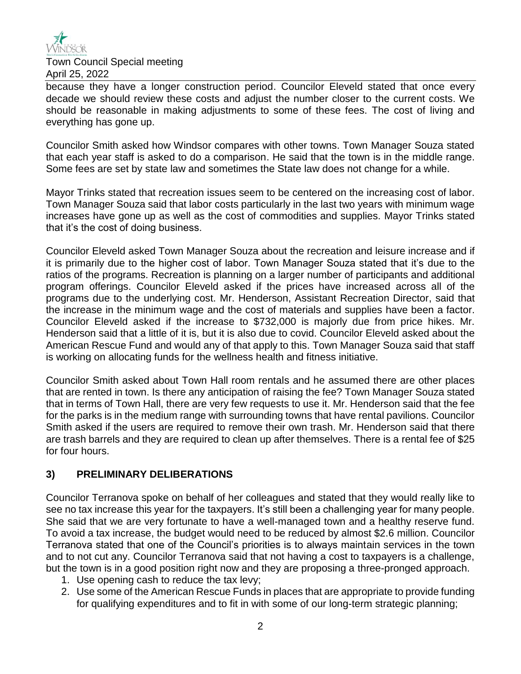

Town Council Special meeting April 25, 2022

because they have a longer construction period. Councilor Eleveld stated that once every decade we should review these costs and adjust the number closer to the current costs. We should be reasonable in making adjustments to some of these fees. The cost of living and everything has gone up.

Councilor Smith asked how Windsor compares with other towns. Town Manager Souza stated that each year staff is asked to do a comparison. He said that the town is in the middle range. Some fees are set by state law and sometimes the State law does not change for a while.

Mayor Trinks stated that recreation issues seem to be centered on the increasing cost of labor. Town Manager Souza said that labor costs particularly in the last two years with minimum wage increases have gone up as well as the cost of commodities and supplies. Mayor Trinks stated that it's the cost of doing business.

Councilor Eleveld asked Town Manager Souza about the recreation and leisure increase and if it is primarily due to the higher cost of labor. Town Manager Souza stated that it's due to the ratios of the programs. Recreation is planning on a larger number of participants and additional program offerings. Councilor Eleveld asked if the prices have increased across all of the programs due to the underlying cost. Mr. Henderson, Assistant Recreation Director, said that the increase in the minimum wage and the cost of materials and supplies have been a factor. Councilor Eleveld asked if the increase to \$732,000 is majorly due from price hikes. Mr. Henderson said that a little of it is, but it is also due to covid. Councilor Eleveld asked about the American Rescue Fund and would any of that apply to this. Town Manager Souza said that staff is working on allocating funds for the wellness health and fitness initiative.

Councilor Smith asked about Town Hall room rentals and he assumed there are other places that are rented in town. Is there any anticipation of raising the fee? Town Manager Souza stated that in terms of Town Hall, there are very few requests to use it. Mr. Henderson said that the fee for the parks is in the medium range with surrounding towns that have rental pavilions. Councilor Smith asked if the users are required to remove their own trash. Mr. Henderson said that there are trash barrels and they are required to clean up after themselves. There is a rental fee of \$25 for four hours.

### **3) PRELIMINARY DELIBERATIONS**

Councilor Terranova spoke on behalf of her colleagues and stated that they would really like to see no tax increase this year for the taxpayers. It's still been a challenging year for many people. She said that we are very fortunate to have a well-managed town and a healthy reserve fund. To avoid a tax increase, the budget would need to be reduced by almost \$2.6 million. Councilor Terranova stated that one of the Council's priorities is to always maintain services in the town and to not cut any. Councilor Terranova said that not having a cost to taxpayers is a challenge, but the town is in a good position right now and they are proposing a three-pronged approach.

- 1. Use opening cash to reduce the tax levy;
- 2. Use some of the American Rescue Funds in places that are appropriate to provide funding for qualifying expenditures and to fit in with some of our long-term strategic planning;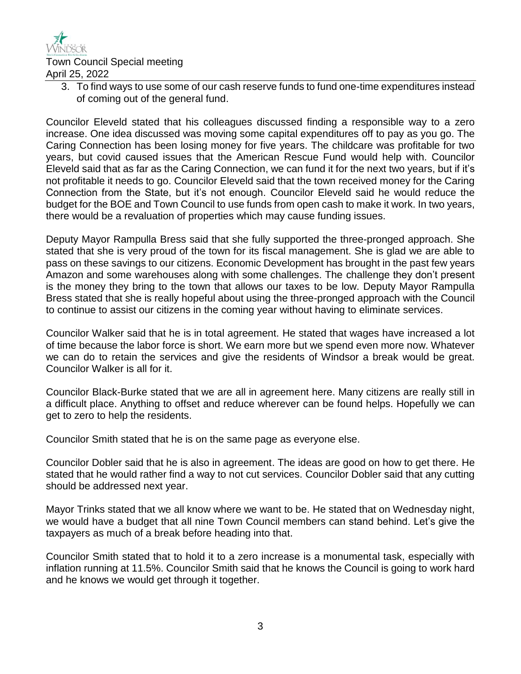

Town Council Special meeting April 25, 2022

> 3. To find ways to use some of our cash reserve funds to fund one-time expenditures instead of coming out of the general fund.

Councilor Eleveld stated that his colleagues discussed finding a responsible way to a zero increase. One idea discussed was moving some capital expenditures off to pay as you go. The Caring Connection has been losing money for five years. The childcare was profitable for two years, but covid caused issues that the American Rescue Fund would help with. Councilor Eleveld said that as far as the Caring Connection, we can fund it for the next two years, but if it's not profitable it needs to go. Councilor Eleveld said that the town received money for the Caring Connection from the State, but it's not enough. Councilor Eleveld said he would reduce the budget for the BOE and Town Council to use funds from open cash to make it work. In two years, there would be a revaluation of properties which may cause funding issues.

Deputy Mayor Rampulla Bress said that she fully supported the three-pronged approach. She stated that she is very proud of the town for its fiscal management. She is glad we are able to pass on these savings to our citizens. Economic Development has brought in the past few years Amazon and some warehouses along with some challenges. The challenge they don't present is the money they bring to the town that allows our taxes to be low. Deputy Mayor Rampulla Bress stated that she is really hopeful about using the three-pronged approach with the Council to continue to assist our citizens in the coming year without having to eliminate services.

Councilor Walker said that he is in total agreement. He stated that wages have increased a lot of time because the labor force is short. We earn more but we spend even more now. Whatever we can do to retain the services and give the residents of Windsor a break would be great. Councilor Walker is all for it.

Councilor Black-Burke stated that we are all in agreement here. Many citizens are really still in a difficult place. Anything to offset and reduce wherever can be found helps. Hopefully we can get to zero to help the residents.

Councilor Smith stated that he is on the same page as everyone else.

Councilor Dobler said that he is also in agreement. The ideas are good on how to get there. He stated that he would rather find a way to not cut services. Councilor Dobler said that any cutting should be addressed next year.

Mayor Trinks stated that we all know where we want to be. He stated that on Wednesday night, we would have a budget that all nine Town Council members can stand behind. Let's give the taxpayers as much of a break before heading into that.

Councilor Smith stated that to hold it to a zero increase is a monumental task, especially with inflation running at 11.5%. Councilor Smith said that he knows the Council is going to work hard and he knows we would get through it together.